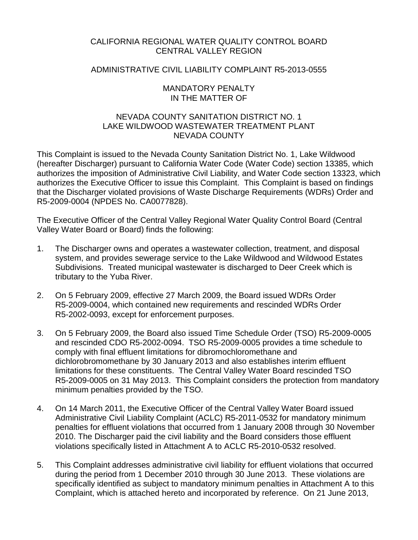# CALIFORNIA REGIONAL WATER QUALITY CONTROL BOARD CENTRAL VALLEY REGION

# ADMINISTRATIVE CIVIL LIABILITY COMPLAINT R5-2013-0555

### MANDATORY PENALTY IN THE MATTER OF

# NEVADA COUNTY SANITATION DISTRICT NO. 1 LAKE WILDWOOD WASTEWATER TREATMENT PLANT NEVADA COUNTY

This Complaint is issued to the Nevada County Sanitation District No. 1, Lake Wildwood (hereafter Discharger) pursuant to California Water Code (Water Code) section 13385, which authorizes the imposition of Administrative Civil Liability, and Water Code section 13323, which authorizes the Executive Officer to issue this Complaint. This Complaint is based on findings that the Discharger violated provisions of Waste Discharge Requirements (WDRs) Order and R5-2009-0004 (NPDES No. CA0077828).

The Executive Officer of the Central Valley Regional Water Quality Control Board (Central Valley Water Board or Board) finds the following:

- 1. The Discharger owns and operates a wastewater collection, treatment, and disposal system, and provides sewerage service to the Lake Wildwood and Wildwood Estates Subdivisions. Treated municipal wastewater is discharged to Deer Creek which is tributary to the Yuba River.
- 2. On 5 February 2009, effective 27 March 2009, the Board issued WDRs Order R5-2009-0004, which contained new requirements and rescinded WDRs Order R5-2002-0093, except for enforcement purposes.
- 3. On 5 February 2009, the Board also issued Time Schedule Order (TSO) R5-2009-0005 and rescinded CDO R5-2002-0094. TSO R5-2009-0005 provides a time schedule to comply with final effluent limitations for dibromochloromethane and dichlorobromomethane by 30 January 2013 and also establishes interim effluent limitations for these constituents. The Central Valley Water Board rescinded TSO R5-2009-0005 on 31 May 2013. This Complaint considers the protection from mandatory minimum penalties provided by the TSO.
- 4. On 14 March 2011, the Executive Officer of the Central Valley Water Board issued Administrative Civil Liability Complaint (ACLC) R5-2011-0532 for mandatory minimum penalties for effluent violations that occurred from 1 January 2008 through 30 November 2010. The Discharger paid the civil liability and the Board considers those effluent violations specifically listed in Attachment A to ACLC R5-2010-0532 resolved.
- 5. This Complaint addresses administrative civil liability for effluent violations that occurred during the period from 1 December 2010 through 30 June 2013. These violations are specifically identified as subject to mandatory minimum penalties in Attachment A to this Complaint, which is attached hereto and incorporated by reference. On 21 June 2013,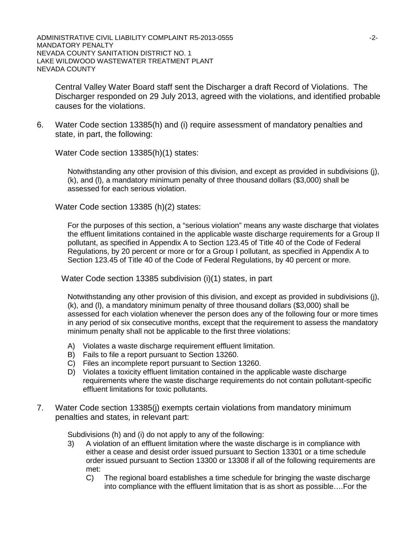ADMINISTRATIVE CIVIL LIABILITY COMPLAINT R5-2013-0555 **AUGUST 12-2-12-2-2-2-2-2-2-**MANDATORY PENALTY NEVADA COUNTY SANITATION DISTRICT NO. 1 LAKE WILDWOOD WASTEWATER TREATMENT PLANT NEVADA COUNTY

Central Valley Water Board staff sent the Discharger a draft Record of Violations. The Discharger responded on 29 July 2013, agreed with the violations, and identified probable causes for the violations.

6. Water Code section 13385(h) and (i) require assessment of mandatory penalties and state, in part, the following:

Water Code section 13385(h)(1) states:

Notwithstanding any other provision of this division, and except as provided in subdivisions (j), (k), and (l), a mandatory minimum penalty of three thousand dollars (\$3,000) shall be assessed for each serious violation.

Water Code section 13385 (h)(2) states:

For the purposes of this section, a "serious violation" means any waste discharge that violates the effluent limitations contained in the applicable waste discharge requirements for a Group II pollutant, as specified in Appendix A to Section 123.45 of Title 40 of the Code of Federal Regulations, by 20 percent or more or for a Group I pollutant, as specified in Appendix A to Section 123.45 of Title 40 of the Code of Federal Regulations, by 40 percent or more.

Water Code section 13385 subdivision (i)(1) states, in part

Notwithstanding any other provision of this division, and except as provided in subdivisions (j), (k), and (l), a mandatory minimum penalty of three thousand dollars (\$3,000) shall be assessed for each violation whenever the person does any of the following four or more times in any period of six consecutive months, except that the requirement to assess the mandatory minimum penalty shall not be applicable to the first three violations:

- A) Violates a waste discharge requirement effluent limitation.
- B) Fails to file a report pursuant to Section 13260.
- C) Files an incomplete report pursuant to Section 13260.
- D) Violates a toxicity effluent limitation contained in the applicable waste discharge requirements where the waste discharge requirements do not contain pollutant-specific effluent limitations for toxic pollutants.
- 7. Water Code section 13385(j) exempts certain violations from mandatory minimum penalties and states, in relevant part:

Subdivisions (h) and (i) do not apply to any of the following:

- 3) A violation of an effluent limitation where the waste discharge is in compliance with either a cease and desist order issued pursuant to Section 13301 or a time schedule order issued pursuant to Section 13300 or 13308 if all of the following requirements are met:
	- C) The regional board establishes a time schedule for bringing the waste discharge into compliance with the effluent limitation that is as short as possible….For the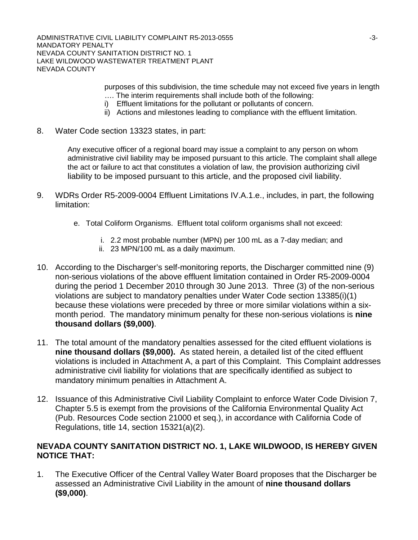ADMINISTRATIVE CIVIL LIABILITY COMPLAINT R5-2013-0555 -3- MANDATORY PENALTY NEVADA COUNTY SANITATION DISTRICT NO. 1 LAKE WILDWOOD WASTEWATER TREATMENT PLANT NEVADA COUNTY

> purposes of this subdivision, the time schedule may not exceed five years in length …. The interim requirements shall include both of the following:

- i) Effluent limitations for the pollutant or pollutants of concern.
- ii) Actions and milestones leading to compliance with the effluent limitation.
- 8. Water Code section 13323 states, in part:

Any executive officer of a regional board may issue a complaint to any person on whom administrative civil liability may be imposed pursuant to this article. The complaint shall allege the act or failure to act that constitutes a violation of law, the provision authorizing civil liability to be imposed pursuant to this article, and the proposed civil liability.

- 9. WDRs Order R5-2009-0004 Effluent Limitations IV.A.1.e., includes, in part, the following limitation:
	- e. Total Coliform Organisms. Effluent total coliform organisms shall not exceed:
		- i. 2.2 most probable number (MPN) per 100 mL as a 7-day median; and
		- ii. 23 MPN/100 mL as a daily maximum.
- 10. According to the Discharger's self-monitoring reports, the Discharger committed nine (9) non-serious violations of the above effluent limitation contained in Order R5-2009-0004 during the period 1 December 2010 through 30 June 2013. Three (3) of the non-serious violations are subject to mandatory penalties under Water Code section 13385(i)(1) because these violations were preceded by three or more similar violations within a sixmonth period. The mandatory minimum penalty for these non-serious violations is **nine thousand dollars (\$9,000)**.
- 11. The total amount of the mandatory penalties assessed for the cited effluent violations is **nine thousand dollars (\$9,000).** As stated herein, a detailed list of the cited effluent violations is included in Attachment A, a part of this Complaint. This Complaint addresses administrative civil liability for violations that are specifically identified as subject to mandatory minimum penalties in Attachment A.
- 12. Issuance of this Administrative Civil Liability Complaint to enforce Water Code Division 7, Chapter 5.5 is exempt from the provisions of the California Environmental Quality Act (Pub. Resources Code section 21000 et seq.), in accordance with California Code of Regulations, title 14, section 15321(a)(2).

# **NEVADA COUNTY SANITATION DISTRICT NO. 1, LAKE WILDWOOD, IS HEREBY GIVEN NOTICE THAT:**

1. The Executive Officer of the Central Valley Water Board proposes that the Discharger be assessed an Administrative Civil Liability in the amount of **nine thousand dollars (\$9,000)**.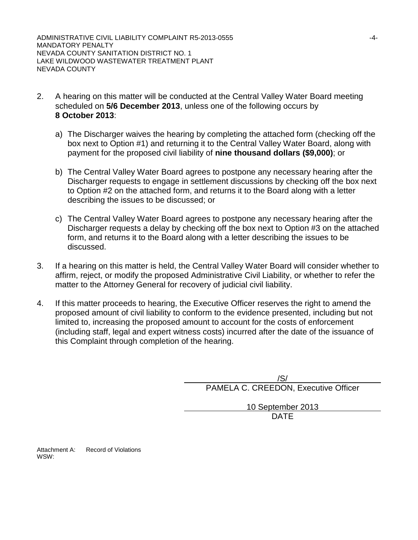- 2. A hearing on this matter will be conducted at the Central Valley Water Board meeting scheduled on **5/6 December 2013**, unless one of the following occurs by **8 October 2013**:
	- a) The Discharger waives the hearing by completing the attached form (checking off the box next to Option #1) and returning it to the Central Valley Water Board, along with payment for the proposed civil liability of **nine thousand dollars (\$9,000)**; or
	- b) The Central Valley Water Board agrees to postpone any necessary hearing after the Discharger requests to engage in settlement discussions by checking off the box next to Option #2 on the attached form, and returns it to the Board along with a letter describing the issues to be discussed; or
	- c) The Central Valley Water Board agrees to postpone any necessary hearing after the Discharger requests a delay by checking off the box next to Option #3 on the attached form, and returns it to the Board along with a letter describing the issues to be discussed.
- 3. If a hearing on this matter is held, the Central Valley Water Board will consider whether to affirm, reject, or modify the proposed Administrative Civil Liability, or whether to refer the matter to the Attorney General for recovery of judicial civil liability.
- 4. If this matter proceeds to hearing, the Executive Officer reserves the right to amend the proposed amount of civil liability to conform to the evidence presented, including but not limited to, increasing the proposed amount to account for the costs of enforcement (including staff, legal and expert witness costs) incurred after the date of the issuance of this Complaint through completion of the hearing.

/S/ PAMELA C. CREEDON, Executive Officer

> 10 September 2013 DATE

Attachment A: Record of Violations WSW: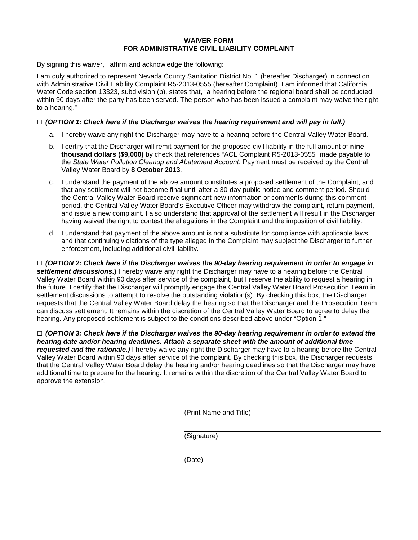### **WAIVER FORM FOR ADMINISTRATIVE CIVIL LIABILITY COMPLAINT**

By signing this waiver, I affirm and acknowledge the following:

I am duly authorized to represent Nevada County Sanitation District No. 1 (hereafter Discharger) in connection with Administrative Civil Liability Complaint R5-2013-0555 (hereafter Complaint). I am informed that California Water Code section 13323, subdivision (b), states that, "a hearing before the regional board shall be conducted within 90 days after the party has been served. The person who has been issued a complaint may waive the right to a hearing."

### **□** *(OPTION 1: Check here if the Discharger waives the hearing requirement and will pay in full.)*

- a. I hereby waive any right the Discharger may have to a hearing before the Central Valley Water Board.
- b. I certify that the Discharger will remit payment for the proposed civil liability in the full amount of **nine thousand dollars (\$9,000)** by check that references "ACL Complaint R5-2013-0555" made payable to the *State Water Pollution Cleanup and Abatement Account*. Payment must be received by the Central Valley Water Board by **8 October 2013**.
- c. I understand the payment of the above amount constitutes a proposed settlement of the Complaint, and that any settlement will not become final until after a 30-day public notice and comment period. Should the Central Valley Water Board receive significant new information or comments during this comment period, the Central Valley Water Board's Executive Officer may withdraw the complaint, return payment, and issue a new complaint. I also understand that approval of the settlement will result in the Discharger having waived the right to contest the allegations in the Complaint and the imposition of civil liability.
- d. I understand that payment of the above amount is not a substitute for compliance with applicable laws and that continuing violations of the type alleged in the Complaint may subject the Discharger to further enforcement, including additional civil liability.

**□** *(OPTION 2: Check here if the Discharger waives the 90-day hearing requirement in order to engage in settlement discussions***.)** I hereby waive any right the Discharger may have to a hearing before the Central Valley Water Board within 90 days after service of the complaint, but I reserve the ability to request a hearing in the future. I certify that the Discharger will promptly engage the Central Valley Water Board Prosecution Team in settlement discussions to attempt to resolve the outstanding violation(s). By checking this box, the Discharger requests that the Central Valley Water Board delay the hearing so that the Discharger and the Prosecution Team can discuss settlement. It remains within the discretion of the Central Valley Water Board to agree to delay the hearing. Any proposed settlement is subject to the conditions described above under "Option 1."

**□** *(OPTION 3: Check here if the Discharger waives the 90-day hearing requirement in order to extend the hearing date and/or hearing deadlines. Attach a separate sheet with the amount of additional time requested and the rationale.)* I hereby waive any right the Discharger may have to a hearing before the Central Valley Water Board within 90 days after service of the complaint. By checking this box, the Discharger requests that the Central Valley Water Board delay the hearing and/or hearing deadlines so that the Discharger may have additional time to prepare for the hearing. It remains within the discretion of the Central Valley Water Board to approve the extension.

(Print Name and Title)

(Signature)

(Date)